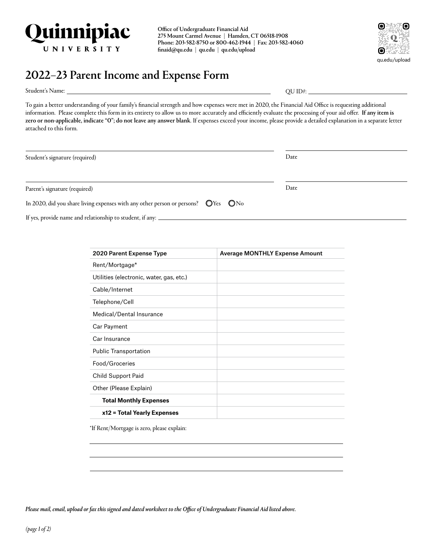

Office of Undergraduate Financial Aid 275 Mount Carmel Avenue | Hamden, CT 06518-1908 Phone: 203-582-8750 or 800-462-1944 | Fax: 203-582-4060 [finaid@qu.edu](mailto:finaid@quinnipiac.edu) | [qu.edu](http://qu.edu) | [qu.edu/upload](http://qu.edu/upload)



## 2022–23 Parent Income and Expense Form

Student's Name:

 $QUID$ #:  $\_$ 

To gain a better understanding of your family's financial strength and how expenses were met in 2020, the Financial Aid Office is requesting additional information. Please complete this form in its entirety to allow us to more accurately and efficiently evaluate the processing of your aid offer. If any item is zero or non-applicable, indicate "O"; do not leave any answer blank. If expenses exceed your income, please provide a detailed explanation in a separate letter attached to this form.

| Student's signature (required)                                                                        | Date |  |
|-------------------------------------------------------------------------------------------------------|------|--|
|                                                                                                       |      |  |
| Parent's signature (required)                                                                         | Date |  |
| In 2020, did you share living expenses with any other person or persons? $\bigcirc$ Yes $\bigcirc$ No |      |  |
| If yes, provide name and relationship to student, if any: _                                           |      |  |

| <b>2020 Parent Expense Type</b>          | <b>Average MONTHLY Expense Amount</b> |
|------------------------------------------|---------------------------------------|
| Rent/Mortgage*                           |                                       |
| Utilities (electronic, water, gas, etc.) |                                       |
| Cable/Internet                           |                                       |
| Telephone/Cell                           |                                       |
| Medical/Dental Insurance                 |                                       |
| Car Payment                              |                                       |
| Car Insurance                            |                                       |
| <b>Public Transportation</b>             |                                       |
| Food/Groceries                           |                                       |
| Child Support Paid                       |                                       |
| Other (Please Explain)                   |                                       |
| <b>Total Monthly Expenses</b>            |                                       |
| x12 = Total Yearly Expenses              |                                       |

\*If Rent/Mortgage is zero, please explain:

*Please mail, email, upload or fax this signed and dated worksheet to the Office of Undergraduate Financial Aid listed above.*